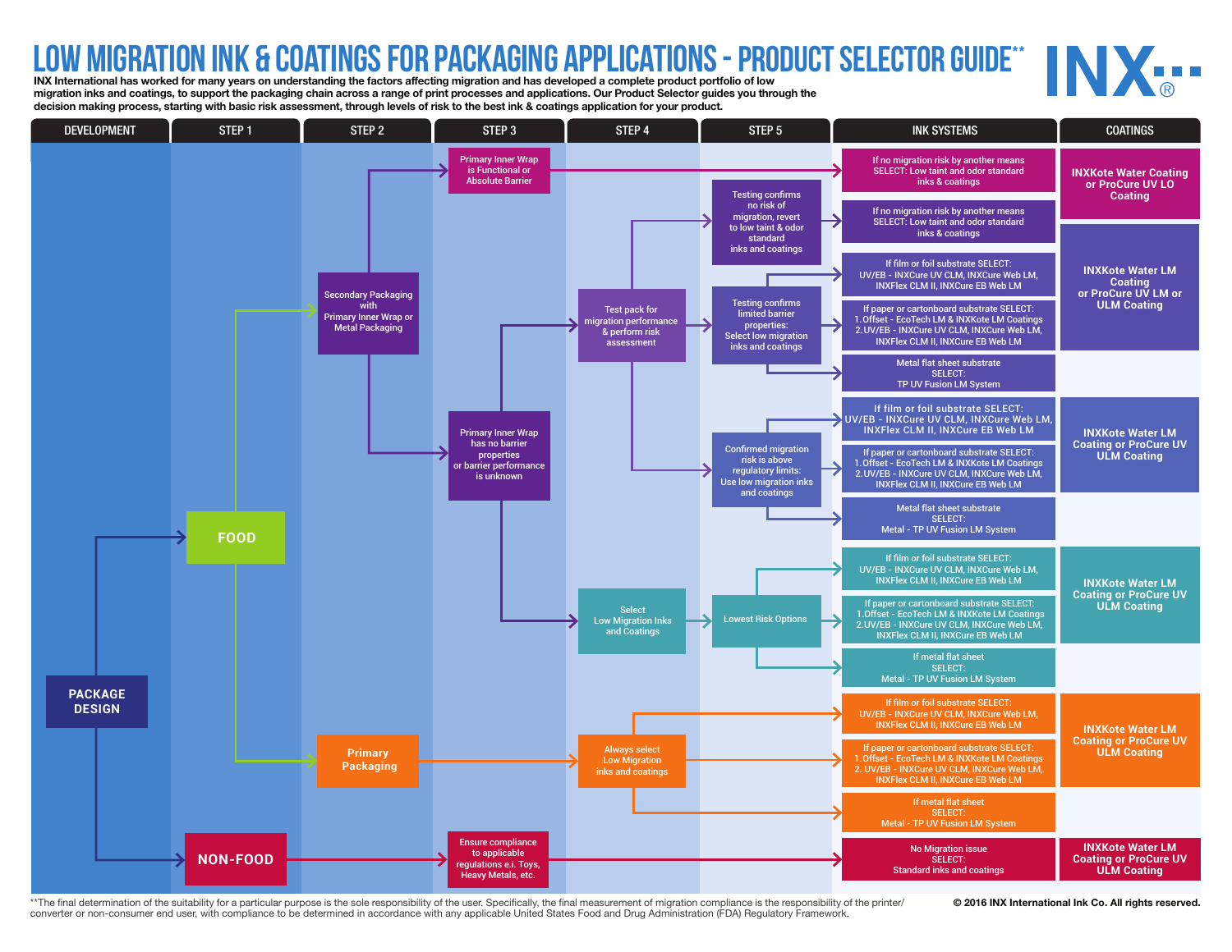## LOW MIGRATION INK & COATINGS FOR PACKAGING APPLICATIONS - PRODUCT SELECTOR GUIDE<sup>\*\*</sup><br>INX International has worked for many years on understanding the factors affecting migration and has developed a complete product portfol

migration inks and coatings, to support the packaging chain across a range of print processes and applications. Our Product Selector guides you through the decision making process, starting with basic risk assessment, through levels of risk to the best ink & coatings application for your product.



\*\*The final determination of the suitability for a particular purpose is the sole responsibility of the user. Specifically, the final measurement of migration compliance is the responsibility of the printer/ @ 2016 INX Int converter or non-consumer end user, with compliance to be determined in accordance with any applicable United States Food and Drug Administration (FDA) Regulatory Framework.